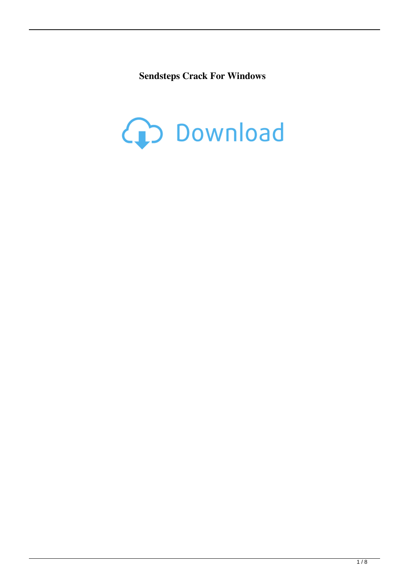**Sendsteps Crack For Windows**

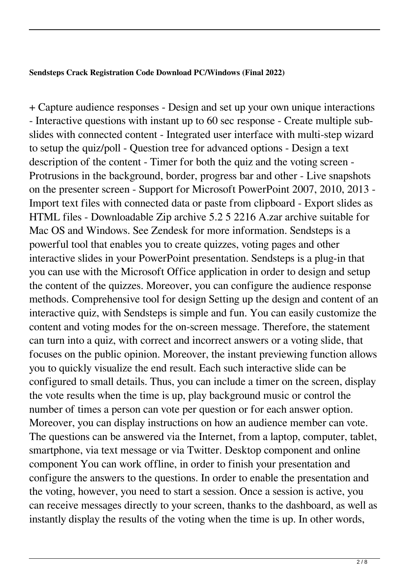## **Sendsteps Crack Registration Code Download PC/Windows (Final 2022)**

+ Capture audience responses - Design and set up your own unique interactions - Interactive questions with instant up to 60 sec response - Create multiple subslides with connected content - Integrated user interface with multi-step wizard to setup the quiz/poll - Question tree for advanced options - Design a text description of the content - Timer for both the quiz and the voting screen - Protrusions in the background, border, progress bar and other - Live snapshots on the presenter screen - Support for Microsoft PowerPoint 2007, 2010, 2013 - Import text files with connected data or paste from clipboard - Export slides as HTML files - Downloadable Zip archive 5.2 5 2216 A.zar archive suitable for Mac OS and Windows. See Zendesk for more information. Sendsteps is a powerful tool that enables you to create quizzes, voting pages and other interactive slides in your PowerPoint presentation. Sendsteps is a plug-in that you can use with the Microsoft Office application in order to design and setup the content of the quizzes. Moreover, you can configure the audience response methods. Comprehensive tool for design Setting up the design and content of an interactive quiz, with Sendsteps is simple and fun. You can easily customize the content and voting modes for the on-screen message. Therefore, the statement can turn into a quiz, with correct and incorrect answers or a voting slide, that focuses on the public opinion. Moreover, the instant previewing function allows you to quickly visualize the end result. Each such interactive slide can be configured to small details. Thus, you can include a timer on the screen, display the vote results when the time is up, play background music or control the number of times a person can vote per question or for each answer option. Moreover, you can display instructions on how an audience member can vote. The questions can be answered via the Internet, from a laptop, computer, tablet, smartphone, via text message or via Twitter. Desktop component and online component You can work offline, in order to finish your presentation and configure the answers to the questions. In order to enable the presentation and the voting, however, you need to start a session. Once a session is active, you can receive messages directly to your screen, thanks to the dashboard, as well as instantly display the results of the voting when the time is up. In other words,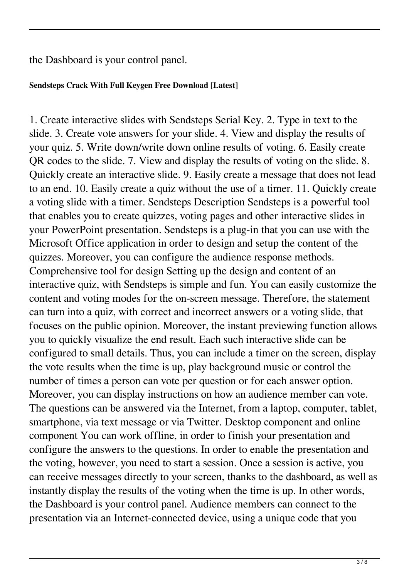the Dashboard is your control panel.

## **Sendsteps Crack With Full Keygen Free Download [Latest]**

1. Create interactive slides with Sendsteps Serial Key. 2. Type in text to the slide. 3. Create vote answers for your slide. 4. View and display the results of your quiz. 5. Write down/write down online results of voting. 6. Easily create QR codes to the slide. 7. View and display the results of voting on the slide. 8. Quickly create an interactive slide. 9. Easily create a message that does not lead to an end. 10. Easily create a quiz without the use of a timer. 11. Quickly create a voting slide with a timer. Sendsteps Description Sendsteps is a powerful tool that enables you to create quizzes, voting pages and other interactive slides in your PowerPoint presentation. Sendsteps is a plug-in that you can use with the Microsoft Office application in order to design and setup the content of the quizzes. Moreover, you can configure the audience response methods. Comprehensive tool for design Setting up the design and content of an interactive quiz, with Sendsteps is simple and fun. You can easily customize the content and voting modes for the on-screen message. Therefore, the statement can turn into a quiz, with correct and incorrect answers or a voting slide, that focuses on the public opinion. Moreover, the instant previewing function allows you to quickly visualize the end result. Each such interactive slide can be configured to small details. Thus, you can include a timer on the screen, display the vote results when the time is up, play background music or control the number of times a person can vote per question or for each answer option. Moreover, you can display instructions on how an audience member can vote. The questions can be answered via the Internet, from a laptop, computer, tablet, smartphone, via text message or via Twitter. Desktop component and online component You can work offline, in order to finish your presentation and configure the answers to the questions. In order to enable the presentation and the voting, however, you need to start a session. Once a session is active, you can receive messages directly to your screen, thanks to the dashboard, as well as instantly display the results of the voting when the time is up. In other words, the Dashboard is your control panel. Audience members can connect to the presentation via an Internet-connected device, using a unique code that you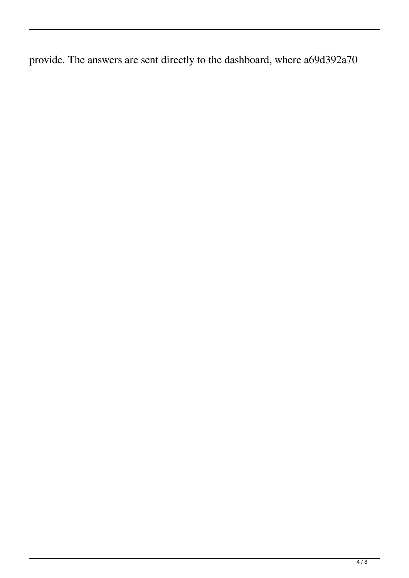provide. The answers are sent directly to the dashboard, where a69d392a70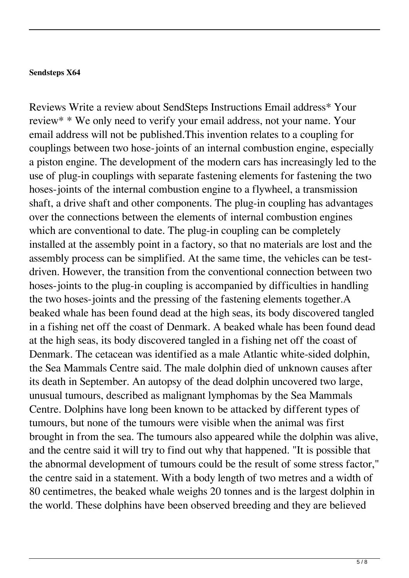## **Sendsteps X64**

Reviews Write a review about SendSteps Instructions Email address\* Your review\* \* We only need to verify your email address, not your name. Your email address will not be published.This invention relates to a coupling for couplings between two hose-joints of an internal combustion engine, especially a piston engine. The development of the modern cars has increasingly led to the use of plug-in couplings with separate fastening elements for fastening the two hoses-joints of the internal combustion engine to a flywheel, a transmission shaft, a drive shaft and other components. The plug-in coupling has advantages over the connections between the elements of internal combustion engines which are conventional to date. The plug-in coupling can be completely installed at the assembly point in a factory, so that no materials are lost and the assembly process can be simplified. At the same time, the vehicles can be testdriven. However, the transition from the conventional connection between two hoses-joints to the plug-in coupling is accompanied by difficulties in handling the two hoses-joints and the pressing of the fastening elements together.A beaked whale has been found dead at the high seas, its body discovered tangled in a fishing net off the coast of Denmark. A beaked whale has been found dead at the high seas, its body discovered tangled in a fishing net off the coast of Denmark. The cetacean was identified as a male Atlantic white-sided dolphin, the Sea Mammals Centre said. The male dolphin died of unknown causes after its death in September. An autopsy of the dead dolphin uncovered two large, unusual tumours, described as malignant lymphomas by the Sea Mammals Centre. Dolphins have long been known to be attacked by different types of tumours, but none of the tumours were visible when the animal was first brought in from the sea. The tumours also appeared while the dolphin was alive, and the centre said it will try to find out why that happened. "It is possible that the abnormal development of tumours could be the result of some stress factor," the centre said in a statement. With a body length of two metres and a width of 80 centimetres, the beaked whale weighs 20 tonnes and is the largest dolphin in the world. These dolphins have been observed breeding and they are believed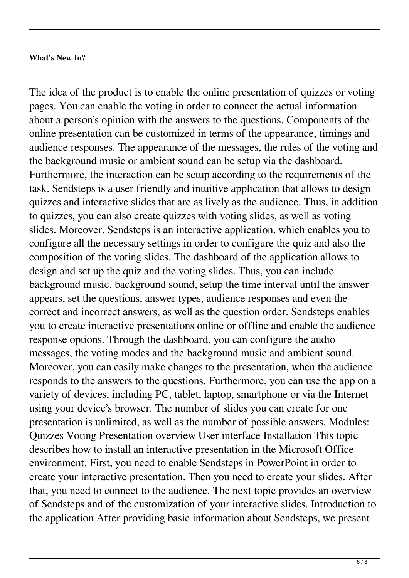## **What's New In?**

The idea of the product is to enable the online presentation of quizzes or voting pages. You can enable the voting in order to connect the actual information about a person's opinion with the answers to the questions. Components of the online presentation can be customized in terms of the appearance, timings and audience responses. The appearance of the messages, the rules of the voting and the background music or ambient sound can be setup via the dashboard. Furthermore, the interaction can be setup according to the requirements of the task. Sendsteps is a user friendly and intuitive application that allows to design quizzes and interactive slides that are as lively as the audience. Thus, in addition to quizzes, you can also create quizzes with voting slides, as well as voting slides. Moreover, Sendsteps is an interactive application, which enables you to configure all the necessary settings in order to configure the quiz and also the composition of the voting slides. The dashboard of the application allows to design and set up the quiz and the voting slides. Thus, you can include background music, background sound, setup the time interval until the answer appears, set the questions, answer types, audience responses and even the correct and incorrect answers, as well as the question order. Sendsteps enables you to create interactive presentations online or offline and enable the audience response options. Through the dashboard, you can configure the audio messages, the voting modes and the background music and ambient sound. Moreover, you can easily make changes to the presentation, when the audience responds to the answers to the questions. Furthermore, you can use the app on a variety of devices, including PC, tablet, laptop, smartphone or via the Internet using your device's browser. The number of slides you can create for one presentation is unlimited, as well as the number of possible answers. Modules: Quizzes Voting Presentation overview User interface Installation This topic describes how to install an interactive presentation in the Microsoft Office environment. First, you need to enable Sendsteps in PowerPoint in order to create your interactive presentation. Then you need to create your slides. After that, you need to connect to the audience. The next topic provides an overview of Sendsteps and of the customization of your interactive slides. Introduction to the application After providing basic information about Sendsteps, we present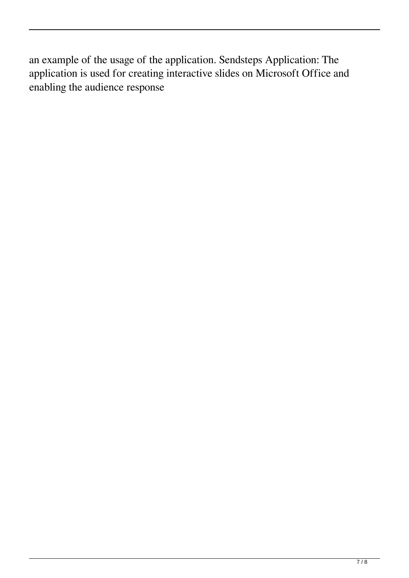an example of the usage of the application. Sendsteps Application: The application is used for creating interactive slides on Microsoft Office and enabling the audience response